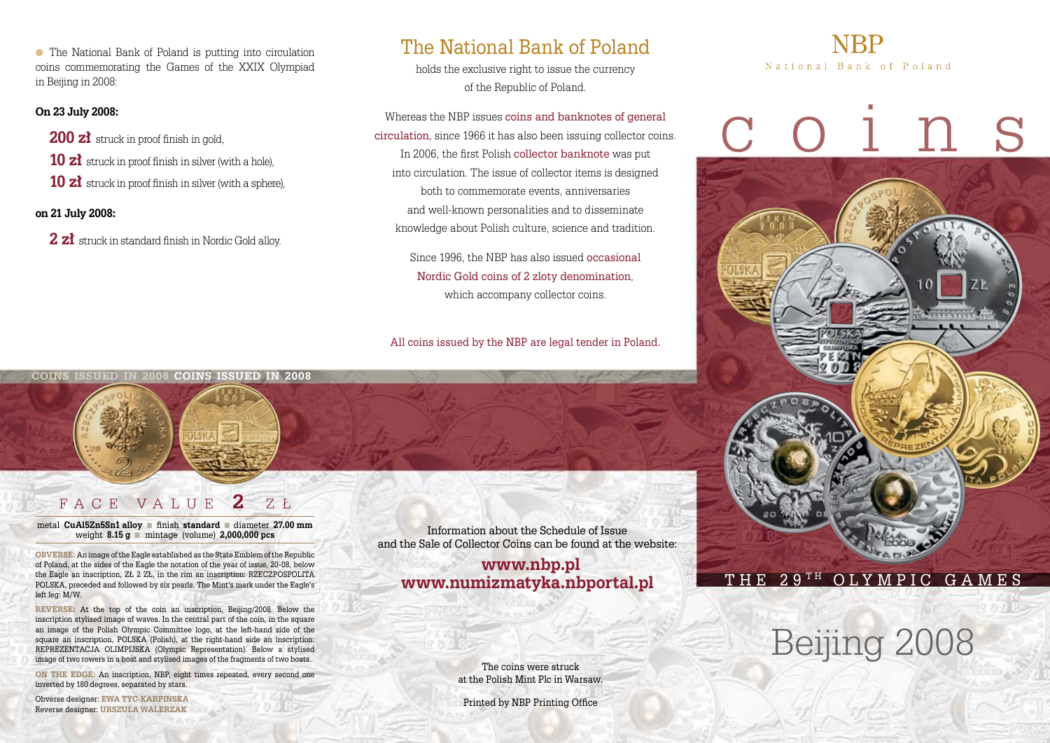● The National Bank of Poland is putting into circulation coins commemorating the Games of the XXIX Olympiad in Beijing in 2008:

### **On 23 July 2008:**

200 **zł** struck in proof finish in gold.

**10 zł** struck in proof finish in silver (with a hole),

**10 zł** struck in proof finish in silver (with a sphere),

### **on 21 July 2008:**

**2 zł** struck in standard finish in Nordic Gold alloy.

## The National Bank of Poland

holds the exclusive right to issue the currency of the Republic of Poland.

Whereas the NBP issues coins and banknotes of general circulation, since 1966 it has also been issuing collector coins. In 2006, the first Polish collector banknote was put into circulation. The issue of collector items is designed both to commemorate events, anniversaries and well-known personalities and to disseminate knowledge about Polish culture, science and tradition.

> Since 1996, the NBP has also issued occasional Nordic Gold coins of 2 zloty denomination, which accompany collector coins.

All coins issued by the NBP are legal tender in Poland.

# National Bank of Poland



# Beijing 2008

The coins were struck at the Polish Mint Plc in Warsaw.

Information about the Schedule of Issue and the Sale of Collector Coins can be found at the website: **www.nbp.pl www.numizmatyka.nbportal.pl**

Printed by NBP Printing Office

**coins issued in 2008 coins issued in 2008**



## F a c e V a l u e **2** z ł

metal **CuAl5Zn5Sn1 alloy** ■ finish **standard** ■ diameter **27.00 mm** weight **8.15 g** ■ mintage (volume) **2,000,000 pcs**

**obverse:** An image of the Eagle established as the State Emblem of the Republic of Poland, at the sides of the Eagle the notation of the year of issue, 20-08, below the Eagle an inscription, ZŁ 2 ZŁ, in the rim an inscription: RZECZPOSPOLITA POLSKA, preceded and followed by six pearls. The Mint's mark under the Eagle's left leg: M/W.

**Reverse:** At the top of the coin an inscription, Beijing/2008. Below the inscription stylised image of waves. In the central part of the coin, in the square an image of the Polish Olympic Committee logo, at the left-hand side of the square an inscription, POLSKA (Polish), at the right-hand side an inscription: REPREZENTACJA OLIMPIJSKA (Olympic Representation). Below a stylised image of two rowers in a boat and stylised images of the fragments of two boats.

**ON THE EDGE:** An inscription, NBP, eight times repeated, every second one inverted by 180 degrees, separated by stars.

Obverse designer: **ewa tyc-karpińska** Reverse designer: **Urszula Walerzak**